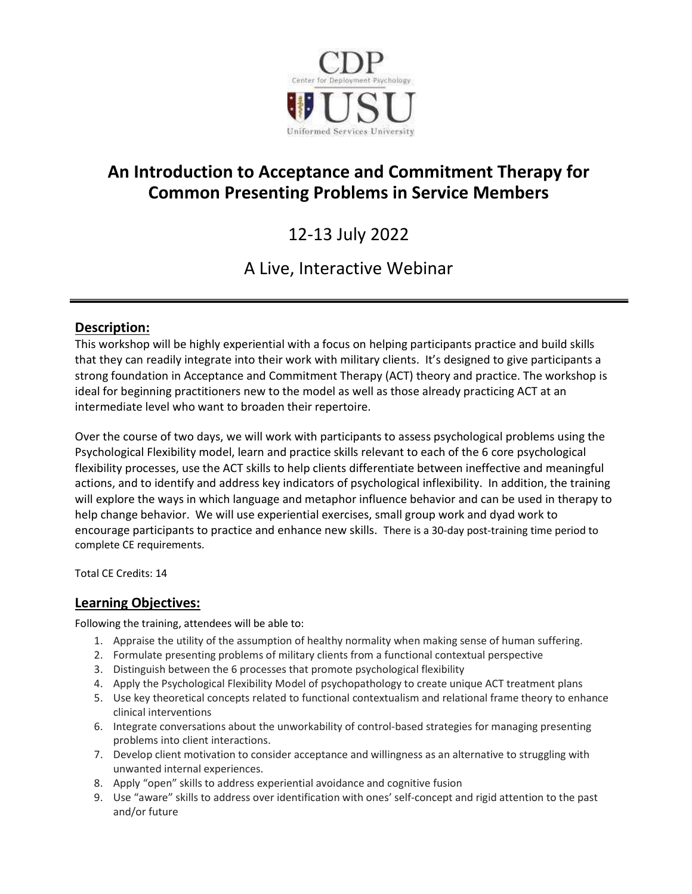

# **An Introduction to Acceptance and Commitment Therapy for Common Presenting Problems in Service Members**

# 12-13 July 2022

# A Live, Interactive Webinar

# Description:

This workshop will be highly experiential with a focus on helping participants practice and build skills that they can readily integrate into their work with military clients. It's designed to give participants a strong foundation in Acceptance and Commitment Therapy (ACT) theory and practice. The workshop is ideal for beginning practitioners new to the model as well as those already practicing ACT at an intermediate level who want to broaden their repertoire.

Over the course of two days, we will work with participants to assess psychological problems using the Psychological Flexibility model, learn and practice skills relevant to each of the 6 core psychological flexibility processes, use the ACT skills to help clients differentiate between ineffective and meaningful actions, and to identify and address key indicators of psychological inflexibility. In addition, the training will explore the ways in which language and metaphor influence behavior and can be used in therapy to help change behavior. We will use experiential exercises, small group work and dyad work to encourage participants to practice and enhance new skills. There is a 30-day post-training time period to complete CE requirements.

Total CE Credits: 14

## Learning Objectives:

Following the training, attendees will be able to:

- 1. Appraise the utility of the assumption of healthy normality when making sense of human suffering.
- 2. Formulate presenting problems of military clients from a functional contextual perspective
- 3. Distinguish between the 6 processes that promote psychological flexibility
- 4. Apply the Psychological Flexibility Model of psychopathology to create unique ACT treatment plans
- 5. Use key theoretical concepts related to functional contextualism and relational frame theory to enhance clinical interventions
- 6. Integrate conversations about the unworkability of control-based strategies for managing presenting problems into client interactions.
- 7. Develop client motivation to consider acceptance and willingness as an alternative to struggling with unwanted internal experiences.
- 8. Apply "open" skills to address experiential avoidance and cognitive fusion
- 9. Use "aware" skills to address over identification with ones' self-concept and rigid attention to the past and/or future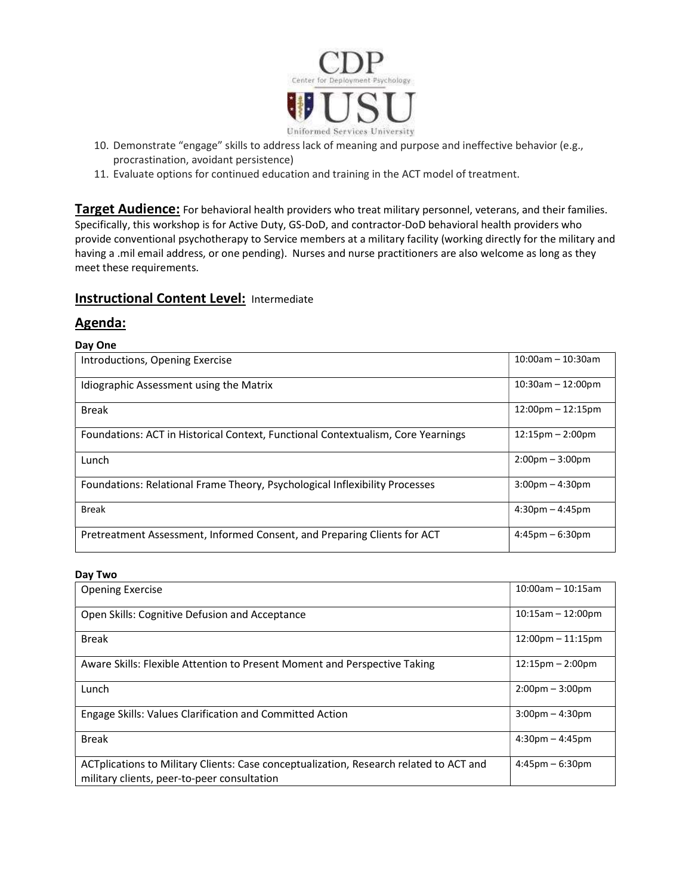

- 10. Demonstrate "engage" skills to address lack of meaning and purpose and ineffective behavior (e.g., procrastination, avoidant persistence)
- 11. Evaluate options for continued education and training in the ACT model of treatment.

Target Audience: For behavioral health providers who treat military personnel, veterans, and their families. Specifically, this workshop is for Active Duty, GS-DoD, and contractor-DoD behavioral health providers who provide conventional psychotherapy to Service members at a military facility (working directly for the military and having a .mil email address, or one pending). Nurses and nurse practitioners are also welcome as long as they meet these requirements.

## **Instructional Content Level: Intermediate**

### Agenda:

#### Day One

| Introductions, Opening Exercise                                                  | $10:00$ am - 10:30am               |
|----------------------------------------------------------------------------------|------------------------------------|
| Idiographic Assessment using the Matrix                                          | $10:30$ am - 12:00pm               |
| <b>Break</b>                                                                     | $12:00$ pm - $12:15$ pm            |
| Foundations: ACT in Historical Context, Functional Contextualism, Core Yearnings | $12:15 \text{pm} - 2:00 \text{pm}$ |
| Lunch                                                                            | $2:00 \text{pm} - 3:00 \text{pm}$  |
| Foundations: Relational Frame Theory, Psychological Inflexibility Processes      | $3:00$ pm $-4:30$ pm               |
| <b>Break</b>                                                                     | $4:30 \text{pm} - 4:45 \text{pm}$  |
| Pretreatment Assessment, Informed Consent, and Preparing Clients for ACT         | $4:45$ pm $-6:30$ pm               |

#### Day Two

| <b>Opening Exercise</b>                                                                                                               | $10:00$ am - 10:15am                |
|---------------------------------------------------------------------------------------------------------------------------------------|-------------------------------------|
| Open Skills: Cognitive Defusion and Acceptance                                                                                        | $10:15am - 12:00pm$                 |
| <b>Break</b>                                                                                                                          | $12:00 \text{pm} - 11:15 \text{pm}$ |
| Aware Skills: Flexible Attention to Present Moment and Perspective Taking                                                             | $12:15 \text{pm} - 2:00 \text{pm}$  |
| Lunch                                                                                                                                 | $2:00 \text{pm} - 3:00 \text{pm}$   |
| Engage Skills: Values Clarification and Committed Action                                                                              | $3:00$ pm $-4:30$ pm                |
| <b>Break</b>                                                                                                                          | $4:30$ pm $-4:45$ pm                |
| ACTplications to Military Clients: Case conceptualization, Research related to ACT and<br>military clients, peer-to-peer consultation | $4:45$ pm $-6:30$ pm                |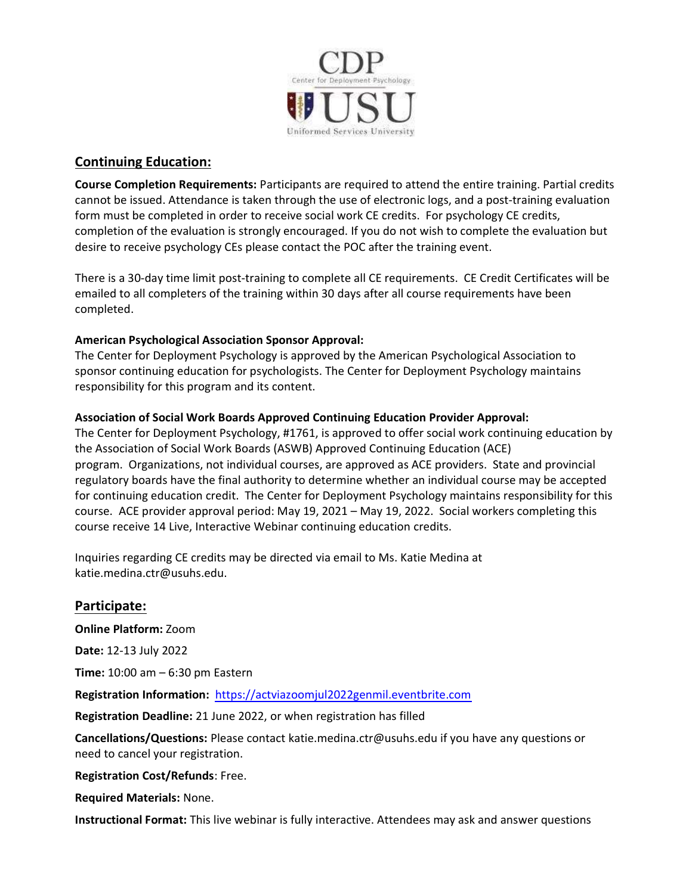

## Continuing Education:

Course Completion Requirements: Participants are required to attend the entire training. Partial credits cannot be issued. Attendance is taken through the use of electronic logs, and a post-training evaluation form must be completed in order to receive social work CE credits. For psychology CE credits, completion of the evaluation is strongly encouraged. If you do not wish to complete the evaluation but desire to receive psychology CEs please contact the POC after the training event.

There is a 30-day time limit post-training to complete all CE requirements. CE Credit Certificates will be emailed to all completers of the training within 30 days after all course requirements have been completed.

## American Psychological Association Sponsor Approval:

The Center for Deployment Psychology is approved by the American Psychological Association to sponsor continuing education for psychologists. The Center for Deployment Psychology maintains responsibility for this program and its content.

## Association of Social Work Boards Approved Continuing Education Provider Approval:

The Center for Deployment Psychology, #1761, is approved to offer social work continuing education by the Association of Social Work Boards (ASWB) Approved Continuing Education (ACE) program. Organizations, not individual courses, are approved as ACE providers. State and provincial regulatory boards have the final authority to determine whether an individual course may be accepted for continuing education credit. The Center for Deployment Psychology maintains responsibility for this course. ACE provider approval period: May 19, 2022 – May 19, 2025. Social workers completing this course receive 14 Live, Interactive Webinar continuing education credits.

Inquiries regarding CE credits may be directed via email to Ms. Katie Medina at katie.medina.ctr@usuhs.edu.

## Participate:

Online Platform: Zoom

Date: 12-13 July 2022

Time: 10:00 am – 6:30 pm Eastern

Registration Information: https://actviazoomjul2022genmil.eventbrite.com

Registration Deadline: 21 June 2022, or when registration has filled

Cancellations/Questions: Please contact katie.medina.ctr@usuhs.edu if you have any questions or need to cancel your registration.

## Registration Cost/Refunds: Free.

Required Materials: None.

Instructional Format: This live webinar is fully interactive. Attendees may ask and answer questions